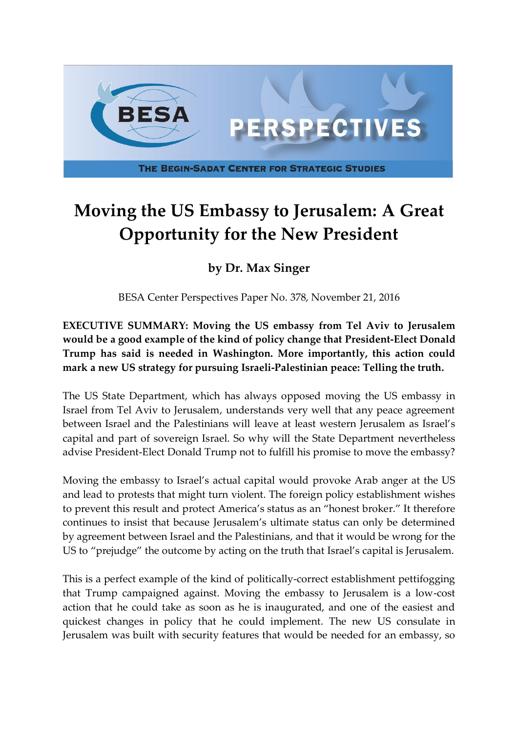

## **Moving the US Embassy to Jerusalem: A Great Opportunity for the New President**

## **by Dr. Max Singer**

BESA Center Perspectives Paper No. 378, November 21, 2016

**EXECUTIVE SUMMARY: Moving the US embassy from Tel Aviv to Jerusalem would be a good example of the kind of policy change that President-Elect Donald Trump has said is needed in Washington. More importantly, this action could mark a new US strategy for pursuing Israeli-Palestinian peace: Telling the truth.**

The US State Department, which has always opposed moving the US embassy in Israel from Tel Aviv to Jerusalem, understands very well that any peace agreement between Israel and the Palestinians will leave at least western Jerusalem as Israel's capital and part of sovereign Israel. So why will the State Department nevertheless advise President-Elect Donald Trump not to fulfill his promise to move the embassy?

Moving the embassy to Israel's actual capital would provoke Arab anger at the US and lead to protests that might turn violent. The foreign policy establishment wishes to prevent this result and protect America's status as an "honest broker." It therefore continues to insist that because Jerusalem's ultimate status can only be determined by agreement between Israel and the Palestinians, and that it would be wrong for the US to "prejudge" the outcome by acting on the truth that Israel's capital is Jerusalem.

This is a perfect example of the kind of politically-correct establishment pettifogging that Trump campaigned against. Moving the embassy to Jerusalem is a low-cost action that he could take as soon as he is inaugurated, and one of the easiest and quickest changes in policy that he could implement. The new US consulate in Jerusalem was built with security features that would be needed for an embassy, so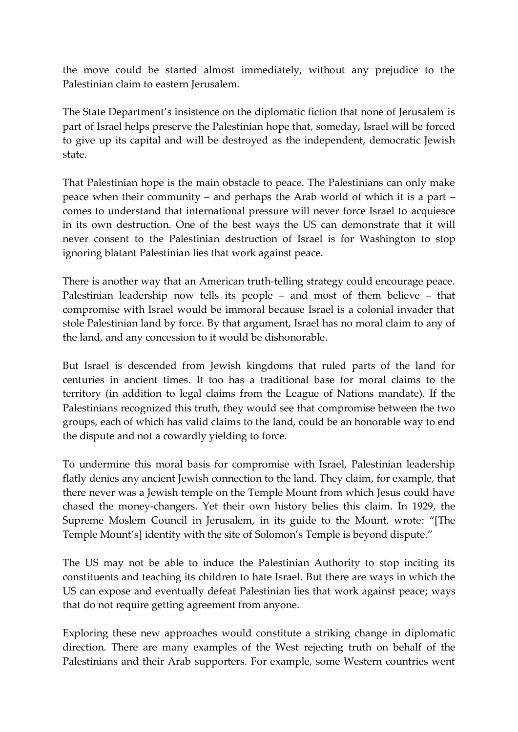the move could be started almost immediately, without any prejudice to the Palestinian claim to eastern Jerusalem.

The State Department's insistence on the diplomatic fiction that none of Jerusalem is part of Israel helps preserve the Palestinian hope that, someday, Israel will be forced to give up its capital and will be destroyed as the independent, democratic Jewish state.

That Palestinian hope is the main obstacle to peace. The Palestinians can only make peace when their community – and perhaps the Arab world of which it is a part – comes to understand that international pressure will never force Israel to acquiesce in its own destruction. One of the best ways the US can demonstrate that it will never consent to the Palestinian destruction of Israel is for Washington to stop ignoring blatant Palestinian lies that work against peace.

There is another way that an American truth-telling strategy could encourage peace. Palestinian leadership now tells its people – and most of them believe – that compromise with Israel would be immoral because Israel is a colonial invader that stole Palestinian land by force. By that argument, Israel has no moral claim to any of the land, and any concession to it would be dishonorable.

But Israel is descended from Jewish kingdoms that ruled parts of the land for centuries in ancient times. It too has a traditional base for moral claims to the territory (in addition to legal claims from the League of Nations mandate). If the Palestinians recognized this truth, they would see that compromise between the two groups, each of which has valid claims to the land, could be an honorable way to end the dispute and not a cowardly yielding to force.

To undermine this moral basis for compromise with Israel, Palestinian leadership flatly denies any ancient Jewish connection to the land. They claim, for example, that there never was a Jewish temple on the Temple Mount from which Jesus could have chased the money-changers. Yet their own history belies this claim. In 1929, the Supreme Moslem Council in Jerusalem, in its guide to the Mount, wrote: "[The Temple Mount's] identity with the site of Solomon's Temple is beyond dispute."

The US may not be able to induce the Palestinian Authority to stop inciting its constituents and teaching its children to hate Israel. But there are ways in which the US can expose and eventually defeat Palestinian lies that work against peace; ways that do not require getting agreement from anyone.

Exploring these new approaches would constitute a striking change in diplomatic direction. There are many examples of the West rejecting truth on behalf of the Palestinians and their Arab supporters. For example, some Western countries went